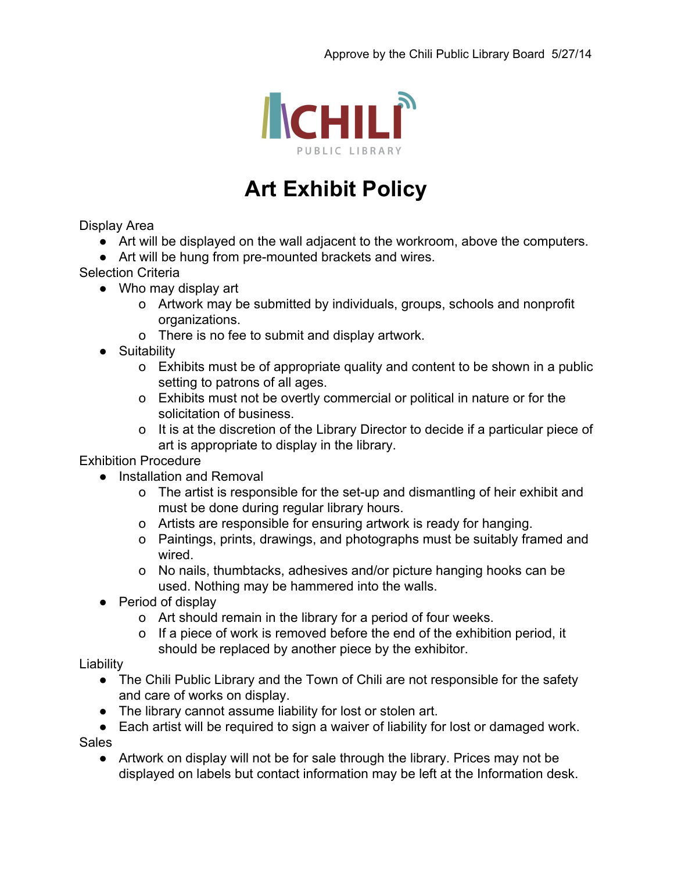

## **Art Exhibit Policy**

Display Area

- Art will be displayed on the wall adjacent to the workroom, above the computers.
- Art will be hung from pre-mounted brackets and wires.

Selection Criteria

- Who may display art
	- o Artwork may be submitted by individuals, groups, schools and nonprofit organizations.
	- o There is no fee to submit and display artwork.
- Suitability
	- o Exhibits must be of appropriate quality and content to be shown in a public setting to patrons of all ages.
	- o Exhibits must not be overtly commercial or political in nature or for the solicitation of business.
	- o It is at the discretion of the Library Director to decide if a particular piece of art is appropriate to display in the library.

Exhibition Procedure

- Installation and Removal
	- o The artist is responsible for the set-up and dismantling of heir exhibit and must be done during regular library hours.
	- o Artists are responsible for ensuring artwork is ready for hanging.
	- o Paintings, prints, drawings, and photographs must be suitably framed and wired.
	- o No nails, thumbtacks, adhesives and/or picture hanging hooks can be used. Nothing may be hammered into the walls.
- Period of display
	- o Art should remain in the library for a period of four weeks.
	- o If a piece of work is removed before the end of the exhibition period, it should be replaced by another piece by the exhibitor.

**Liability** 

- The Chili Public Library and the Town of Chili are not responsible for the safety and care of works on display.
- The library cannot assume liability for lost or stolen art.
- Each artist will be required to sign a waiver of liability for lost or damaged work. Sales
	- Artwork on display will not be for sale through the library. Prices may not be displayed on labels but contact information may be left at the Information desk.